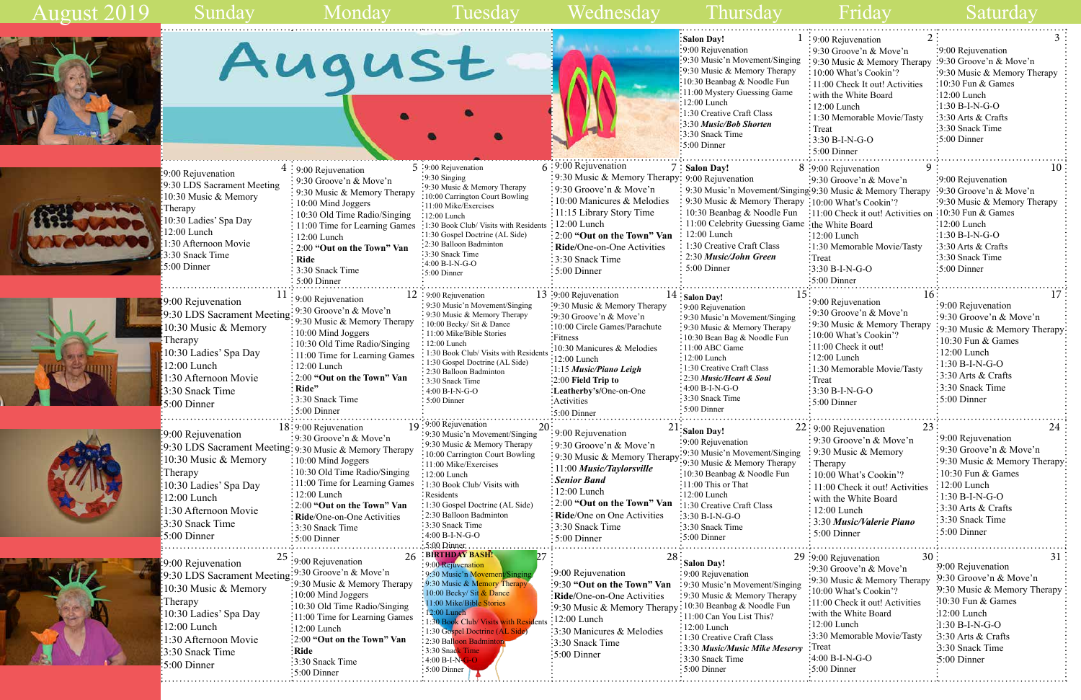

| 1   | 2<br>: 9:00 Rejuvenation                                     | 3                            |
|-----|--------------------------------------------------------------|------------------------------|
|     | 9:30 Groove'n & Move'n                                       | 9:00 Rejuvenation            |
| ng  | 9:30 Music & Memory Therapy                                  | 9:30 Groove'n & Move'n       |
| y   | 10:00 What's Cookin'?                                        | 9:30 Music & Memory Therapy  |
|     | 11:00 Check It out! Activities                               | 10:30 Fun & Games            |
|     | with the White Board                                         | 12:00 Lunch                  |
|     | $12:00$ Lunch                                                | $1:30 B-I-N-G-O$             |
|     | 1:30 Memorable Movie/Tasty                                   | 3:30 Arts & Crafts           |
|     | Treat                                                        | 3:30 Snack Time              |
|     | 3:30 B-I-N-G-O                                               | 5:00 Dinner                  |
|     | 5:00 Dinner                                                  |                              |
|     | 9                                                            | 10                           |
|     | 8 :9:00 Rejuvenation<br>$: 9:30$ Groove'n & Move'n           | 9:00 Rejuvenation            |
|     | ging 9:30 Music & Memory Therapy                             | 9:30 Groove'n & Move'n       |
|     | $\text{app} \cdot 10:00 \text{ What's Cookin?}$              | 9:30 Music & Memory Therapy  |
| n   | $:11:00$ Check it out! Activities on $:10:30$ Fun & Games    |                              |
|     | me ∶the White Board                                          | 12:00 Lunch                  |
|     | $:12:00$ Lunch                                               | :1:30 B-I-N-G-O              |
|     | :1:30 Memorable Movie/Tasty                                  | 3:30 Arts & Crafts           |
|     | Treat                                                        | :3:30 Snack Time             |
|     | 3:30 B-I-N-G-O                                               | 5:00 Dinner                  |
|     | 5:00 Dinner                                                  |                              |
|     |                                                              |                              |
| 15  | 16<br>9:00 Rejuvenation                                      | 17                           |
|     | 9:30 Groove'n & Move'n                                       | 9:00 Rejuvenation            |
|     | 9:30 Music & Memory Therapy                                  | 9:30 Groove'n & Move'n       |
|     | 10:00 What's Cookin'?                                        | 9:30 Music & Memory Therapy  |
|     | 11:00 Check it out!                                          | 10:30 Fun & Games            |
|     | 12:00 Lunch                                                  | 12:00 Lunch                  |
|     | 1:30 Memorable Movie/Tasty                                   | $1:30 B-I-N-G-O$             |
|     | Treat                                                        | 3:30 Arts & Crafts           |
|     | $3:30 B-I-N-G-O$                                             | 3:30 Snack Time              |
|     | 5:00 Dinner                                                  | 5:00 Dinner                  |
|     |                                                              |                              |
|     | 23<br>22: 9:00 Rejuvenation                                  | 24                           |
|     | 9:30 Groove'n & Move'n                                       | 9:00 Rejuvenation            |
| ng  | 9:30 Music & Memory                                          | 9:30 Groove'n & Move'n       |
| y   | Therapy                                                      | 9:30 Music & Memory Therapy: |
|     | 10:00 What's Cookin'?                                        | 10:30 Fun & Games            |
|     | 11:00 Check it out! Activities                               | 12:00 Lunch                  |
|     | with the White Board                                         | $1:30 B-I-N-G-O$             |
|     | 12:00 Lunch                                                  | 3:30 Arts & Crafts           |
|     | 3:30 Music/Valerie Piano                                     | 3:30 Snack Time              |
|     | 5:00 Dinner                                                  | 5:00 Dinner                  |
|     |                                                              |                              |
|     | 30                                                           | 31                           |
|     | 29 :9:00 Rejuvenation<br>$\frac{1}{2}9:30$ Groove'n & Move'n | :9:00 Rejuvenation           |
|     |                                                              | :9:30 Groove'n & Move'n      |
| ng  | :9:30 Music & Memory Therapy<br>10:00 What's Cookin'?        | .9:30 Music & Memory Therapy |
| y   | 11:00 Check it out! Activities                               | :10:30 Fun & Games           |
|     | with the White Board                                         | :12:00 Lunch                 |
|     | $12:00$ Lunch                                                | $-1:30 B-I-N-G-O$            |
|     | 3:30 Memorable Movie/Tasty                                   | 3:30 Arts & Crafts           |
|     | :Treat                                                       |                              |
| rvy | :4:00 B-I-N-G-O                                              | 3:30 Snack Time              |
|     |                                                              | 5:00 Dinner                  |
|     | $:5:00$ Dinner                                               |                              |

August 2019